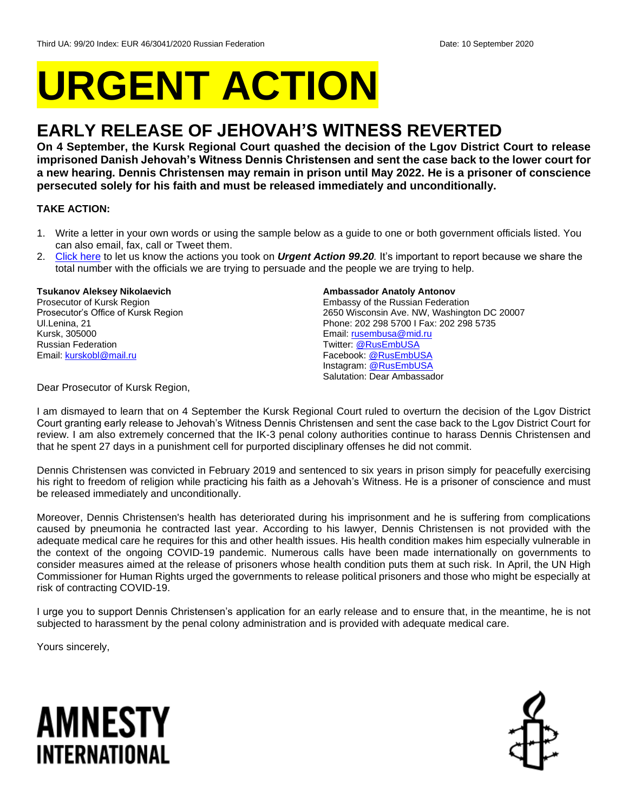# **URGENT ACTION**

## **EARLY RELEASE OF JEHOVAH'S WITNESS REVERTED**

**On 4 September, the Kursk Regional Court quashed the decision of the Lgov District Court to release imprisoned Danish Jehovah's Witness Dennis Christensen and sent the case back to the lower court for a new hearing. Dennis Christensen may remain in prison until May 2022. He is a prisoner of conscience persecuted solely for his faith and must be released immediately and unconditionally.**

#### **TAKE ACTION:**

- 1. Write a letter in your own words or using the sample below as a guide to one or both government officials listed. You can also email, fax, call or Tweet them.
- 2. [Click here](https://www.amnestyusa.org/report-urgent-actions/) to let us know the actions you took on *Urgent Action 99.20.* It's important to report because we share the total number with the officials we are trying to persuade and the people we are trying to help.

#### **Tsukanov Aleksey Nikolaevich**

Prosecutor of Kursk Region Prosecutor's Office of Kursk Region Ul.Lenina, 21 Kursk, 305000 Russian Federation Email[: kurskobl@mail.ru](mailto:kurskobl@mail.ru)

#### **Ambassador Anatoly Antonov**

Embassy of the Russian Federation 2650 Wisconsin Ave. NW, Washington DC 20007 Phone: 202 298 5700 I Fax: 202 298 5735 Email[: rusembusa@mid.ru](mailto:rusembusa@mid.ru) Twitter: [@RusEmbUSA](https://twitter.com/RusEmbUSA?ref_src=twsrc%5Egoogle%7Ctwcamp%5Eserp%7Ctwgr%5Eauthor) Facebook[: @RusEmbUSA](https://www.facebook.com/RusEmbUSA/) Instagram: [@RusEmbUSA](https://www.instagram.com/rusembusa/?hl=en) Salutation: Dear Ambassador

Dear Prosecutor of Kursk Region,

I am dismayed to learn that on 4 September the Kursk Regional Court ruled to overturn the decision of the Lgov District Court granting early release to Jehovah's Witness Dennis Christensen and sent the case back to the Lgov District Court for review. I am also extremely concerned that the IK-3 penal colony authorities continue to harass Dennis Christensen and that he spent 27 days in a punishment cell for purported disciplinary offenses he did not commit.

Dennis Christensen was convicted in February 2019 and sentenced to six years in prison simply for peacefully exercising his right to freedom of religion while practicing his faith as a Jehovah's Witness. He is a prisoner of conscience and must be released immediately and unconditionally.

Moreover, Dennis Christensen's health has deteriorated during his imprisonment and he is suffering from complications caused by pneumonia he contracted last year. According to his lawyer, Dennis Christensen is not provided with the adequate medical care he requires for this and other health issues. His health condition makes him especially vulnerable in the context of the ongoing COVID-19 pandemic. Numerous calls have been made internationally on governments to consider measures aimed at the release of prisoners whose health condition puts them at such risk. In April, the UN High Commissioner for Human Rights urged the governments to release political prisoners and those who might be especially at risk of contracting COVID-19.

I urge you to support Dennis Christensen's application for an early release and to ensure that, in the meantime, he is not subjected to harassment by the penal colony administration and is provided with adequate medical care.

Yours sincerely,